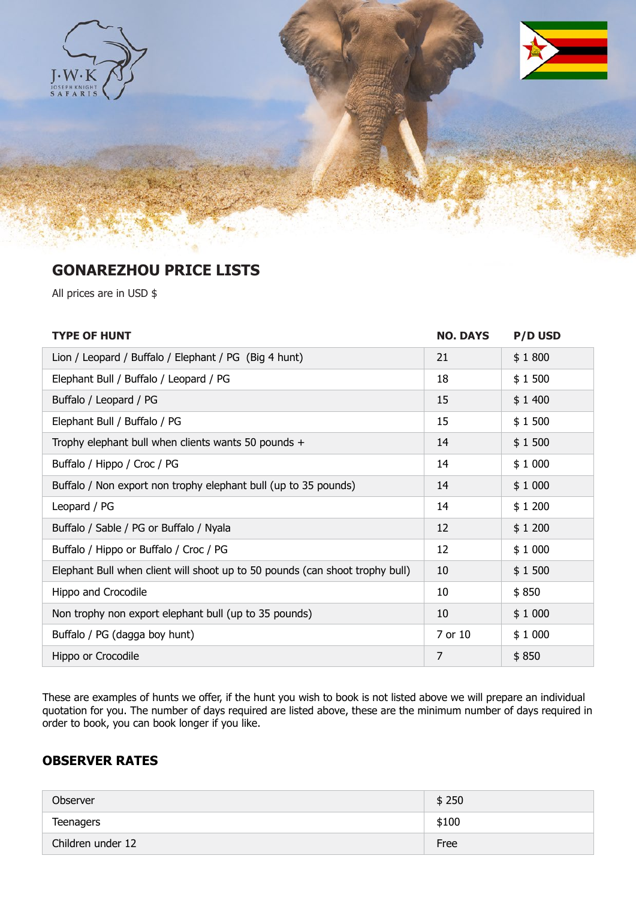

# **GONAREZHOU PRICE LISTS**

All prices are in USD \$

| <b>TYPE OF HUNT</b>                                                          | <b>NO. DAYS</b> | <b>P/D USD</b> |
|------------------------------------------------------------------------------|-----------------|----------------|
| Lion / Leopard / Buffalo / Elephant / PG (Big 4 hunt)                        | 21              | \$1800         |
| Elephant Bull / Buffalo / Leopard / PG                                       | 18              | \$1500         |
| Buffalo / Leopard / PG                                                       | 15              | \$1400         |
| Elephant Bull / Buffalo / PG                                                 | 15              | \$1500         |
| Trophy elephant bull when clients wants 50 pounds +                          | 14              | \$1500         |
| Buffalo / Hippo / Croc / PG                                                  | 14              | \$1000         |
| Buffalo / Non export non trophy elephant bull (up to 35 pounds)              | 14              | \$1000         |
| Leopard / PG                                                                 | 14              | \$1200         |
| Buffalo / Sable / PG or Buffalo / Nyala                                      | 12              | \$1200         |
| Buffalo / Hippo or Buffalo / Croc / PG                                       | 12              | \$1000         |
| Elephant Bull when client will shoot up to 50 pounds (can shoot trophy bull) | 10              | \$1500         |
| Hippo and Crocodile                                                          | 10              | \$850          |
| Non trophy non export elephant bull (up to 35 pounds)                        | 10              | \$1000         |
| Buffalo / PG (dagga boy hunt)                                                | 7 or 10         | \$1000         |
| Hippo or Crocodile                                                           | 7               | \$850          |

These are examples of hunts we offer, if the hunt you wish to book is not listed above we will prepare an individual quotation for you. The number of days required are listed above, these are the minimum number of days required in order to book, you can book longer if you like.

## **OBSERVER RATES**

| Observer          | \$250 |
|-------------------|-------|
| Teenagers         | \$100 |
| Children under 12 | Free  |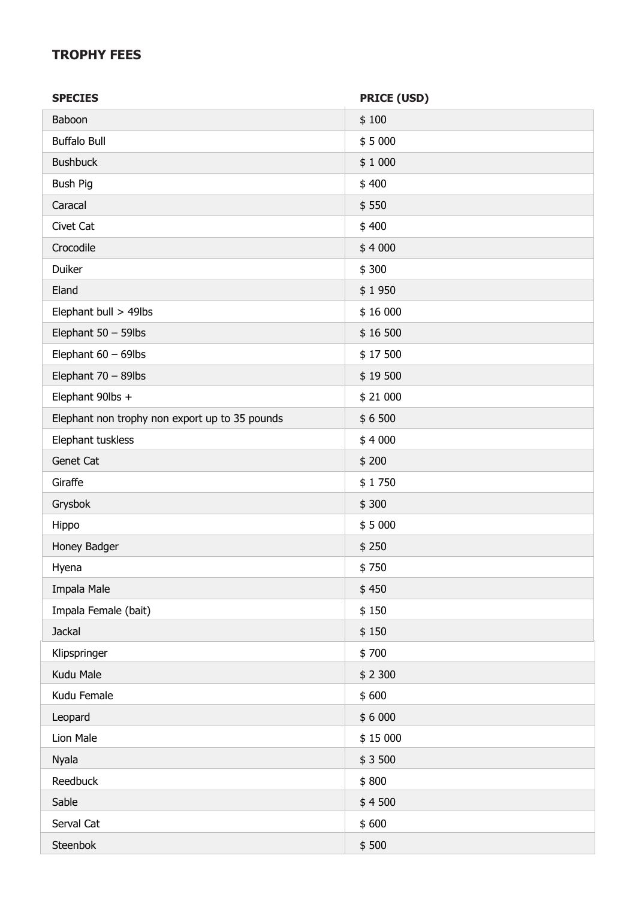### **TROPHY FEES**

| <b>SPECIES</b>                                 | <b>PRICE (USD)</b> |
|------------------------------------------------|--------------------|
| Baboon                                         | \$100              |
| <b>Buffalo Bull</b>                            | \$5000             |
| <b>Bushbuck</b>                                | \$1000             |
| <b>Bush Pig</b>                                | \$400              |
| Caracal                                        | \$550              |
| Civet Cat                                      | \$400              |
| Crocodile                                      | \$4000             |
| Duiker                                         | \$300              |
| Eland                                          | \$1950             |
| Elephant bull > 49lbs                          | \$16 000           |
| Elephant $50 - 59$ lbs                         | \$16 500           |
| Elephant $60 - 69$ lbs                         | \$17500            |
| Elephant 70 - 89lbs                            | \$19500            |
| Elephant 90lbs +                               | \$21 000           |
| Elephant non trophy non export up to 35 pounds | \$6500             |
| Elephant tuskless                              | \$4000             |
| Genet Cat                                      | \$200              |
| Giraffe                                        | \$1750             |
| Grysbok                                        | \$300              |
| Hippo                                          | \$5000             |
| Honey Badger                                   | \$250              |
| Hyena                                          | \$750              |
| Impala Male                                    | \$450              |
| Impala Female (bait)                           | \$150              |
| <b>Jackal</b>                                  | \$150              |
| Klipspringer                                   | \$700              |
| Kudu Male                                      | \$2300             |
| Kudu Female                                    | \$600              |
| Leopard                                        | \$6000             |
| Lion Male                                      | \$15 000           |
| Nyala                                          | \$3500             |
| Reedbuck                                       | \$800              |
| Sable                                          | \$4500             |
| Serval Cat                                     | \$600              |
| Steenbok                                       | \$500              |